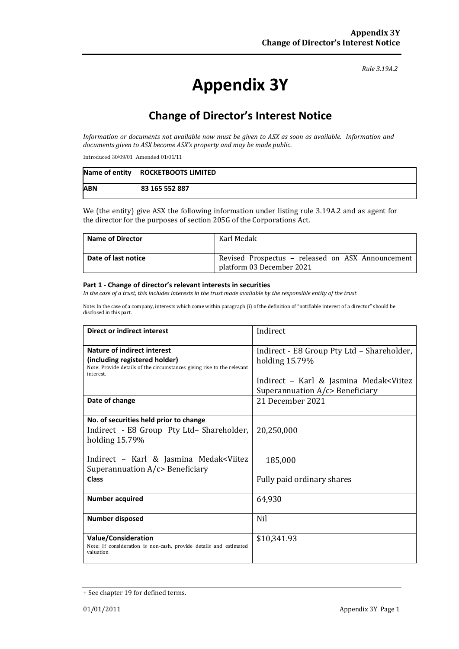#### *Rule 3.19A.2*

# **Appendix 3Y**

# **Change of Director's Interest Notice**

*Information or documents not available now must be given to ASX as soon as available. Information and documents given to ASX become ASX's property and may be made public.*

Introduced 30/09/01 Amended 01/01/11

|            | Name of entity ROCKETBOOTS LIMITED |
|------------|------------------------------------|
| <b>ABN</b> | 83 165 552 887                     |

We (the entity) give ASX the following information under listing rule 3.19A.2 and as agent for the director for the purposes of section 205G of the Corporations Act.

| <b>Name of Director</b> | Karl Medak                                                                     |  |
|-------------------------|--------------------------------------------------------------------------------|--|
| Date of last notice     | Revised Prospectus - released on ASX Announcement<br>platform 03 December 2021 |  |

#### **Part 1 - Change of director's relevant interests in securities**

*In the case of a trust, this includes interests in the trust made available by the responsible entity of the trust*

Note: In the case of a company, interests which come within paragraph (i) of the definition of "notifiable interest of a director" should be disclosed in this part.

| <b>Direct or indirect interest</b>                                                  | Indirect                                                  |  |
|-------------------------------------------------------------------------------------|-----------------------------------------------------------|--|
| Nature of indirect interest                                                         | Indirect - E8 Group Pty Ltd - Shareholder,                |  |
| (including registered holder)                                                       | holding 15.79%                                            |  |
| Note: Provide details of the circumstances giving rise to the relevant<br>interest. |                                                           |  |
|                                                                                     | Indirect – Karl & Jasmina Medak <viitez< th=""></viitez<> |  |
|                                                                                     | Superannuation $A/c$ Beneficiary                          |  |
| Date of change                                                                      | 21 December 2021                                          |  |
|                                                                                     |                                                           |  |
| No. of securities held prior to change                                              |                                                           |  |
| Indirect - E8 Group Pty Ltd-Shareholder,                                            | 20,250,000                                                |  |
| holding 15.79%                                                                      |                                                           |  |
| Indirect - Karl & Jasmina Medak <viitez< th=""><th></th></viitez<>                  |                                                           |  |
| Superannuation $A/c$ Beneficiary                                                    | 185,000                                                   |  |
| <b>Class</b>                                                                        | Fully paid ordinary shares                                |  |
|                                                                                     |                                                           |  |
| <b>Number acquired</b>                                                              | 64,930                                                    |  |
|                                                                                     |                                                           |  |
| <b>Number disposed</b>                                                              | <b>Nil</b>                                                |  |
|                                                                                     |                                                           |  |
| <b>Value/Consideration</b>                                                          | \$10,341.93                                               |  |
| Note: If consideration is non-cash, provide details and estimated<br>valuation      |                                                           |  |
|                                                                                     |                                                           |  |

<sup>+</sup> See chapter 19 for defined terms.